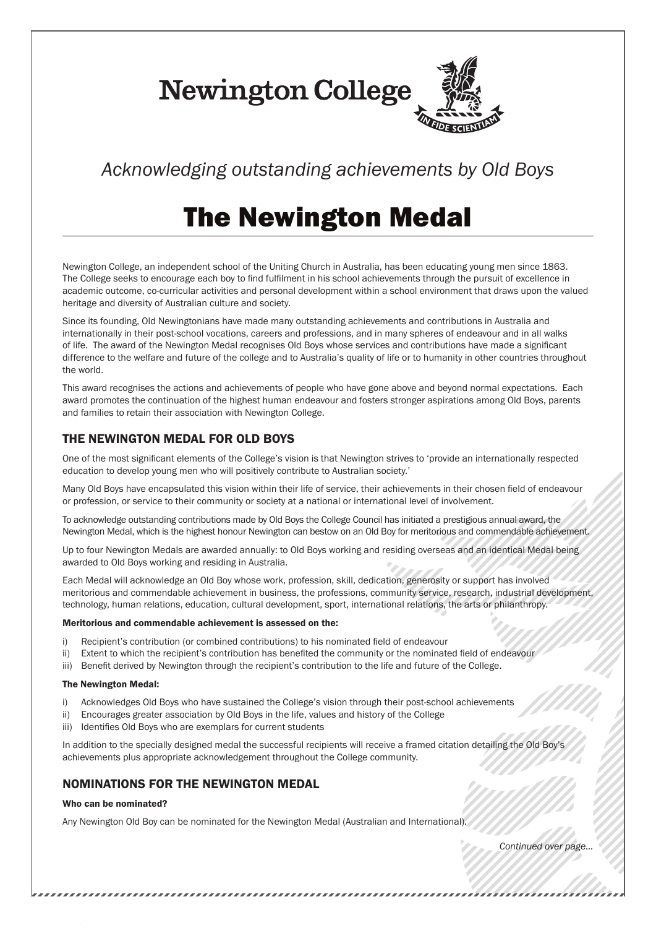**Newington College** 

# *Acknowledging outstanding achievements by Old Boys*

# The Newington Medal

Newington College, an independent school of the Uniting Church in Australia, has been educating young men since 1863. The College seeks to encourage each boy to find fulfilment in his school achievements through the pursuit of excellence in academic outcome, co-curricular activities and personal development within a school environment that draws upon the valued heritage and diversity of Australian culture and society.

Since its founding, Old Newingtonians have made many outstanding achievements and contributions in Australia and internationally in their post-school vocations, careers and professions, and in many spheres of endeavour and in all walks of life. The award of the Newington Medal recognises Old Boys whose services and contributions have made a significant difference to the welfare and future of the college and to Australia's quality of life or to humanity in other countries throughout the world.

This award recognises the actions and achievements of people who have gone above and beyond normal expectations. Each award promotes the continuation of the highest human endeavour and fosters stronger aspirations among Old Boys, parents and families to retain their association with Newington College.

## THE NEWINGTON MEDAL FOR OLD BOYS

One of the most significant elements of the College's vision is that Newington strives to 'provide an internationally respected education to develop young men who will positively contribute to Australian society.'

Many Old Boys have encapsulated this vision within their life of service, their achievements in their chosen field of endeavour or profession, or service to their community or society at a national or international level of involvement.

To acknowledge outstanding contributions made by Old Boys the College Council has initiated a prestigious annual award, the Newington Medal, which is the highest honour Newington can bestow on an Old Boy for meritorious and commendable achievement.

Up to four Newington Medals are awarded annually: to Old Boys working and residing overseas and an identical Medal being awarded to Old Boys working and residing in Australia.

Each Medal will acknowledge an Old Boy whose work, profession, skill, dedication, generosity or support has involved meritorious and commendable achievement in business, the professions, community service, research, industrial development, technology, human relations, education, cultural development, sport, international relations, the arts or philanthropy.

#### Meritorious and commendable achievement is assessed on the:

- i) Recipient's contribution (or combined contributions) to his nominated field of endeavour
- ii) Extent to which the recipient's contribution has benefited the community or the nominated field of endeavour
- iii) Benefit derived by Newington through the recipient's contribution to the life and future of the College.

#### The Newington Medal:

- i) Acknowledges Old Boys who have sustained the College's vision through their post-school achievements
- ii) Encourages greater association by Old Boys in the life, values and history of the College
- iii) Identifies Old Boys who are exemplars for current students

In addition to the specially designed medal the successful recipients will receive a framed citation detailing the Old Boy's achievements plus appropriate acknowledgement throughout the College community.

## NOMINATIONS FOR THE NEWINGTON MEDAL

#### Who can be nominated?

Any Newington Old Boy can be nominated for the Newington Medal (Australian and International).

*Continued over page...*